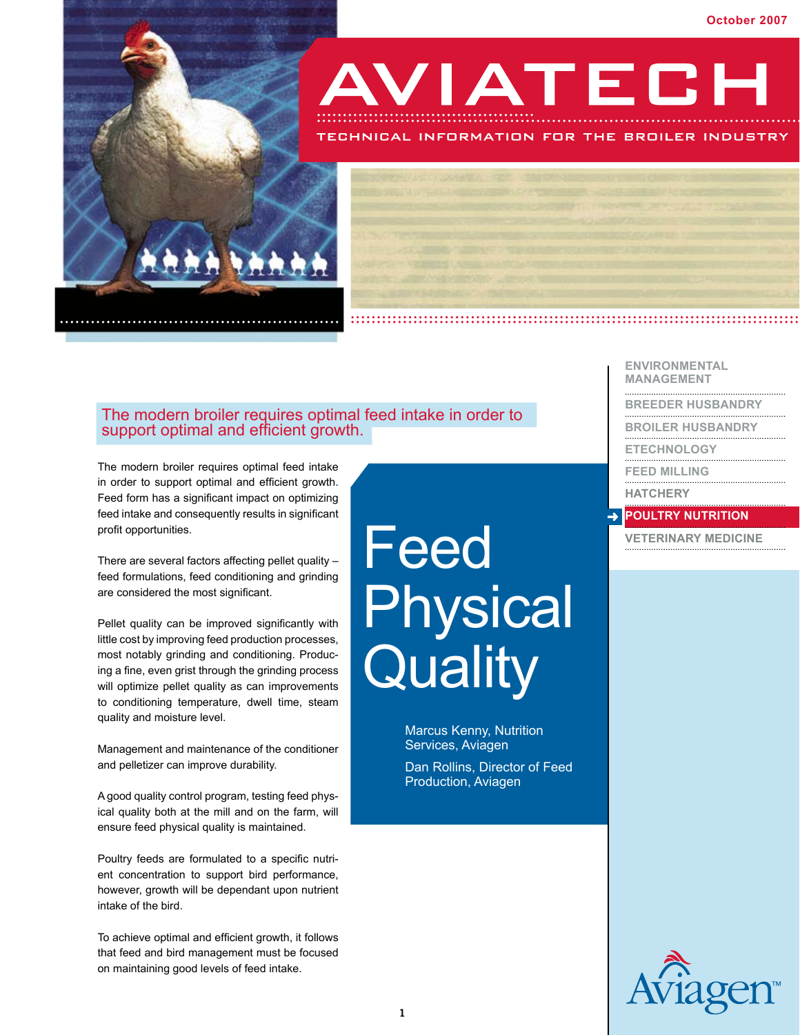

support optimal and efficient growth.

The modern broiler requires optimal feed intake in order to support optimal and efficient growth. Feed form has a significant impact on optimizing feed intake and consequently results in significant profit opportunities.

There are several factors affecting pellet quality – feed formulations, feed conditioning and grinding are considered the most significant.

Pellet quality can be improved significantly with little cost by improving feed production processes, most notably grinding and conditioning. Producing a fine, even grist through the grinding process will optimize pellet quality as can improvements to conditioning temperature, dwell time, steam quality and moisture level.

Management and maintenance of the conditioner and pelletizer can improve durability.

A good quality control program, testing feed physical quality both at the mill and on the farm, will ensure feed physical quality is maintained.

Poultry feeds are formulated to a specific nutrient concentration to support bird performance, however, growth will be dependant upon nutrient intake of the bird.

To achieve optimal and efficient growth, it follows that feed and bird management must be focused on maintaining good levels of feed intake.

# Feed Physical **Quality**

AVIATECH

TECHNICAL INFORMATION FOR THE BROILER INDUSTRY

Marcus Kenny, Nutrition Services, Aviagen

Dan Rollins, Director of Feed Production, Aviagen

**Environmental Management**

**................................................................... Breeder Husbandry ...................................................................**

**Broiler Husbandry ...................................................................**

**Etechnology ...................................................................**

**FEED MILLING** 

**HATCHERY** 

# **POULTRY NUTRITION**

**Veterinary Medicine ...................................................................**

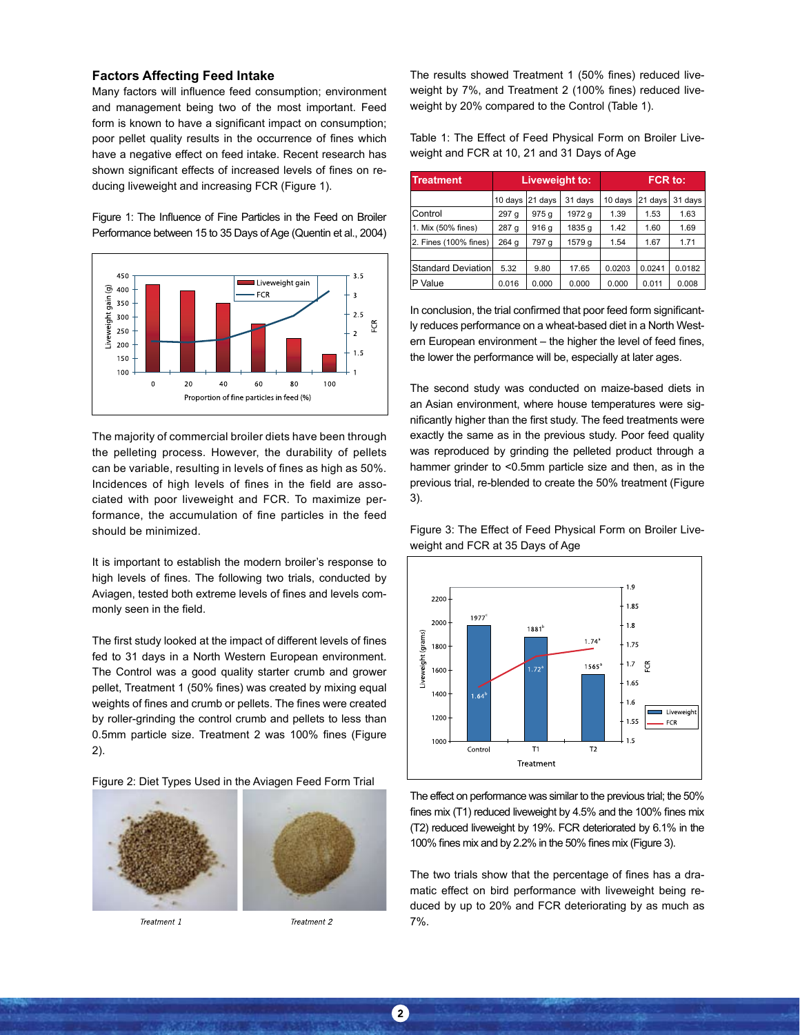#### **Factors Affecting Feed Intake**

Many factors will influence feed consumption; environment and management being two of the most important. Feed form is known to have a significant impact on consumption; poor pellet quality results in the occurrence of fines which have a negative effect on feed intake. Recent research has shown significant effects of increased levels of fines on reducing liveweight and increasing FCR (Figure 1).

Figure 1: The Influence of Fine Particles in the Feed on Broiler Performance between 15 to 35 Days of Age (Quentin et al., 2004)



The majority of commercial broiler diets have been through the pelleting process. However, the durability of pellets can be variable, resulting in levels of fines as high as 50%. Incidences of high levels of fines in the field are associated with poor liveweight and FCR. To maximize performance, the accumulation of fine particles in the feed should be minimized.

It is important to establish the modern broiler's response to high levels of fines. The following two trials, conducted by Aviagen, tested both extreme levels of fines and levels commonly seen in the field.

The first study looked at the impact of different levels of fines fed to 31 days in a North Western European environment. The Control was a good quality starter crumb and grower pellet, Treatment 1 (50% fines) was created by mixing equal weights of fines and crumb or pellets. The fines were created by roller-grinding the control crumb and pellets to less than 0.5mm particle size. Treatment 2 was 100% fines (Figure 2).

Figure 2: Diet Types Used in the Aviagen Feed Form Trial



Treatment 1



The results showed Treatment 1 (50% fines) reduced liveweight by 7%, and Treatment 2 (100% fines) reduced liveweight by 20% compared to the Control (Table 1).

Table 1: The Effect of Feed Physical Form on Broiler Liveweight and FCR at 10, 21 and 31 Days of Age

| <b>Treatment</b>          | <b>Liveweight to:</b> |         |         | FCR to: |         |         |
|---------------------------|-----------------------|---------|---------|---------|---------|---------|
|                           | 10 days               | 21 days | 31 days | 10 days | 21 days | 31 days |
| Control                   | 297 g                 | 975 g   | 1972 g  | 1.39    | 1.53    | 1.63    |
| 1. Mix (50% fines)        | 287 g                 | 916 g   | 1835 g  | 1.42    | 1.60    | 1.69    |
| 2. Fines (100% fines)     | 264 g                 | 797 g   | 1579 g  | 1.54    | 1.67    | 1.71    |
|                           |                       |         |         |         |         |         |
| <b>Standard Deviation</b> | 5.32                  | 9.80    | 17.65   | 0.0203  | 0.0241  | 0.0182  |
| P Value                   | 0.016                 | 0.000   | 0.000   | 0.000   | 0.011   | 0.008   |

In conclusion, the trial confirmed that poor feed form significantly reduces performance on a wheat-based diet in a North Western European environment – the higher the level of feed fines, the lower the performance will be, especially at later ages.

The second study was conducted on maize-based diets in an Asian environment, where house temperatures were significantly higher than the first study. The feed treatments were exactly the same as in the previous study. Poor feed quality was reproduced by grinding the pelleted product through a hammer grinder to <0.5mm particle size and then, as in the previous trial, re-blended to create the 50% treatment (Figure 3).

Figure 3: The Effect of Feed Physical Form on Broiler Liveweight and FCR at 35 Days of Age



The effect on performance was similar to the previous trial; the 50% fines mix (T1) reduced liveweight by 4.5% and the 100% fines mix (T2) reduced liveweight by 19%. FCR deteriorated by 6.1% in the 100% fines mix and by 2.2% in the 50% fines mix (Figure 3).

The two trials show that the percentage of fines has a dramatic effect on bird performance with liveweight being reduced by up to 20% and FCR deteriorating by as much as 7%.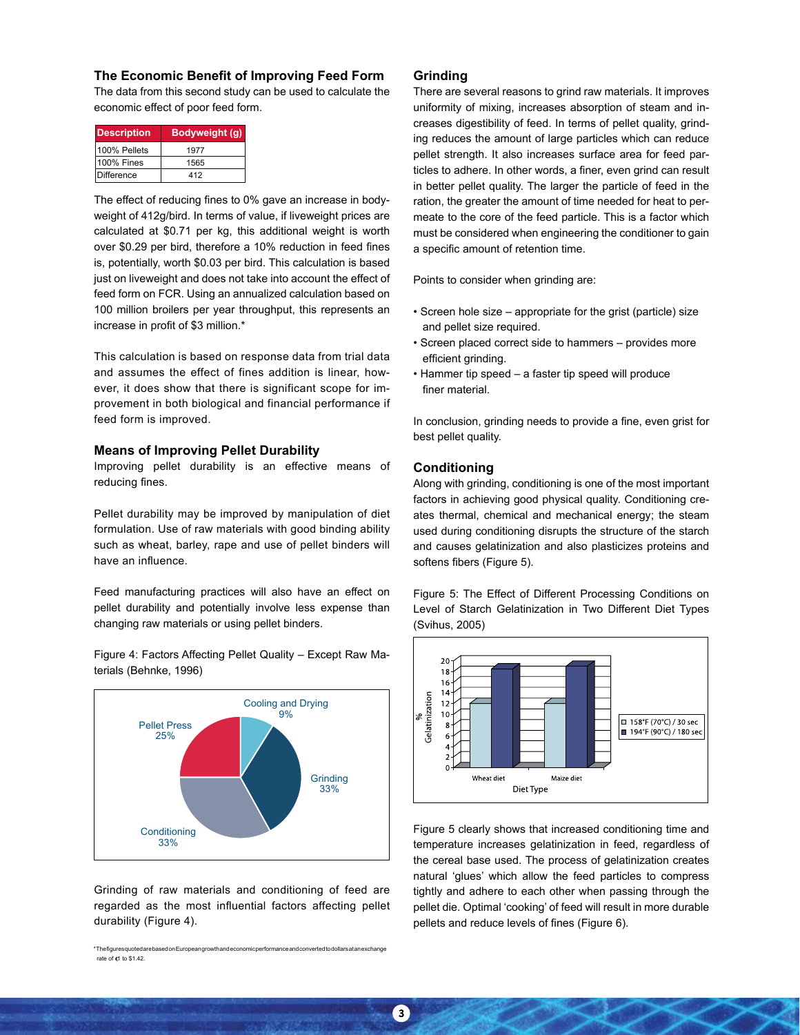## **The Economic Benefit of Improving Feed Form**

The data from this second study can be used to calculate the economic effect of poor feed form.

| <b>Description</b> | Bodyweight (g) |  |  |
|--------------------|----------------|--|--|
| 100% Pellets       | 1977           |  |  |
| 100% Fines         | 1565           |  |  |
| Difference         | 412            |  |  |

The effect of reducing fines to 0% gave an increase in bodyweight of 412g/bird. In terms of value, if liveweight prices are calculated at \$0.71 per kg, this additional weight is worth over \$0.29 per bird, therefore a 10% reduction in feed fines is, potentially, worth \$0.03 per bird. This calculation is based just on liveweight and does not take into account the effect of feed form on FCR. Using an annualized calculation based on 100 million broilers per year throughput, this represents an increase in profit of \$3 million.\*

This calculation is based on response data from trial data and assumes the effect of fines addition is linear, however, it does show that there is significant scope for improvement in both biological and financial performance if feed form is improved.

#### **Means of Improving Pellet Durability**

Improving pellet durability is an effective means of reducing fines.

Pellet durability may be improved by manipulation of diet formulation. Use of raw materials with good binding ability such as wheat, barley, rape and use of pellet binders will have an influence.

Feed manufacturing practices will also have an effect on pellet durability and potentially involve less expense than changing raw materials or using pellet binders.

Figure 4: Factors Affecting Pellet Quality – Except Raw Materials (Behnke, 1996)



Grinding of raw materials and conditioning of feed are regarded as the most influential factors affecting pellet durability (Figure 4).

\* The figures q rate of  $61$  to \$1.42.

## **Grinding**

There are several reasons to grind raw materials. It improves uniformity of mixing, increases absorption of steam and increases digestibility of feed. In terms of pellet quality, grinding reduces the amount of large particles which can reduce pellet strength. It also increases surface area for feed particles to adhere. In other words, a finer, even grind can result in better pellet quality. The larger the particle of feed in the ration, the greater the amount of time needed for heat to permeate to the core of the feed particle. This is a factor which must be considered when engineering the conditioner to gain a specific amount of retention time.

Points to consider when grinding are:

- Screen hole size appropriate for the grist (particle) size and pellet size required.
- Screen placed correct side to hammers provides more efficient grinding.
- Hammer tip speed a faster tip speed will produce finer material.

In conclusion, grinding needs to provide a fine, even grist for best pellet quality.

## **Conditioning**

Along with grinding, conditioning is one of the most important factors in achieving good physical quality. Conditioning creates thermal, chemical and mechanical energy; the steam used during conditioning disrupts the structure of the starch and causes gelatinization and also plasticizes proteins and softens fibers (Figure 5).

Figure 5: The Effect of Different Processing Conditions on Level of Starch Gelatinization in Two Different Diet Types (Svihus, 2005)



Figure 5 clearly shows that increased conditioning time and temperature increases gelatinization in feed, regardless of the cereal base used. The process of gelatinization creates natural 'glues' which allow the feed particles to compress tightly and adhere to each other when passing through the pellet die. Optimal 'cooking' of feed will result in more durable pellets and reduce levels of fines (Figure 6).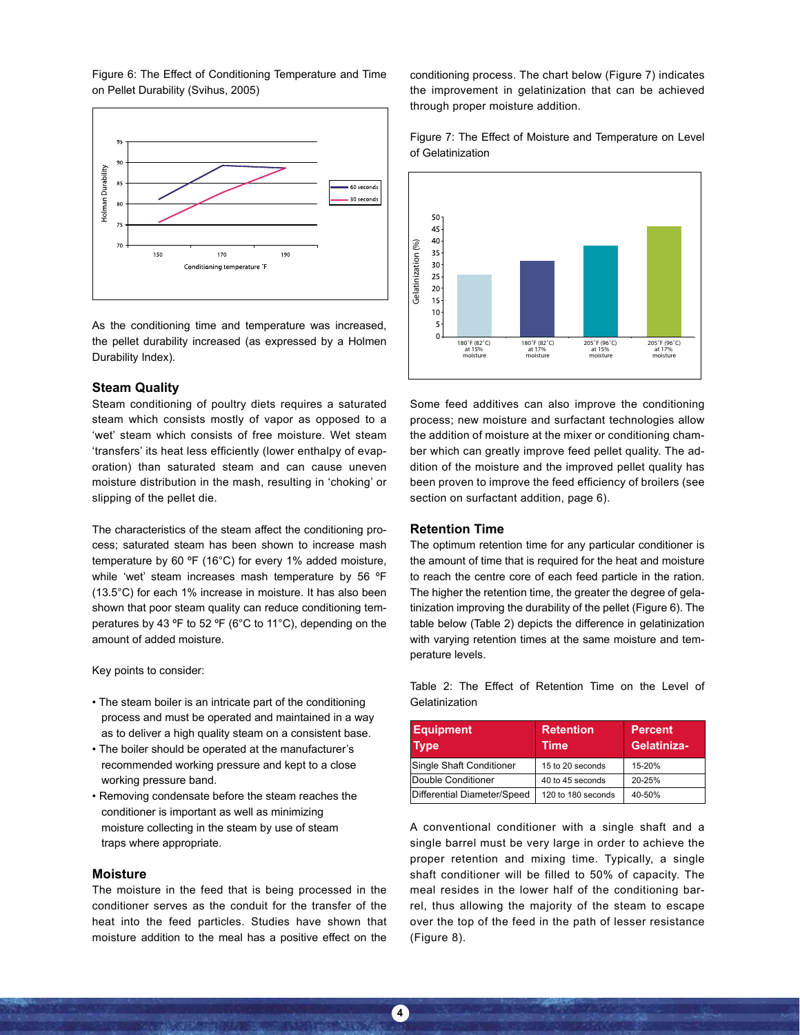Figure 6: The Effect of Conditioning Temperature and Time on Pellet Durability (Svihus, 2005)



As the conditioning time and temperature was increased, the pellet durability increased (as expressed by a Holmen Durability Index).

# **Steam Quality**

Steam conditioning of poultry diets requires a saturated steam which consists mostly of vapor as opposed to a 'wet' steam which consists of free moisture. Wet steam 'transfers' its heat less efficiently (lower enthalpy of evaporation) than saturated steam and can cause uneven moisture distribution in the mash, resulting in 'choking' or slipping of the pellet die.

The characteristics of the steam affect the conditioning process; saturated steam has been shown to increase mash temperature by 60 ºF (16°C) for every 1% added moisture, while 'wet' steam increases mash temperature by 56 ºF (13.5°C) for each 1% increase in moisture. It has also been shown that poor steam quality can reduce conditioning temperatures by 43 ºF to 52 ºF (6°C to 11°C), depending on the amount of added moisture.

Key points to consider:

- The steam boiler is an intricate part of the conditioning process and must be operated and maintained in a way as to deliver a high quality steam on a consistent base.
- The boiler should be operated at the manufacturer's recommended working pressure and kept to a close working pressure band.
- Removing condensate before the steam reaches the conditioner is important as well as minimizing moisture collecting in the steam by use of steam traps where appropriate.

#### **Moisture**

The moisture in the feed that is being processed in the conditioner serves as the conduit for the transfer of the heat into the feed particles. Studies have shown that moisture addition to the meal has a positive effect on the conditioning process. The chart below (Figure 7) indicates the improvement in gelatinization that can be achieved through proper moisture addition.





Some feed additives can also improve the conditioning process; new moisture and surfactant technologies allow the addition of moisture at the mixer or conditioning chamber which can greatly improve feed pellet quality. The addition of the moisture and the improved pellet quality has been proven to improve the feed efficiency of broilers (see section on surfactant addition, page 6).

#### **Retention Time**

**4**

The optimum retention time for any particular conditioner is the amount of time that is required for the heat and moisture to reach the centre core of each feed particle in the ration. The higher the retention time, the greater the degree of gelatinization improving the durability of the pellet (Figure 6). The table below (Table 2) depicts the difference in gelatinization with varying retention times at the same moisture and temperature levels.

Table 2: The Effect of Retention Time on the Level of Gelatinization

| <b>Equipment</b><br><b>Type</b> | <b>Retention</b><br>Time | <b>Percent</b><br>Gelatiniza- |  |
|---------------------------------|--------------------------|-------------------------------|--|
| Single Shaft Conditioner        | 15 to 20 seconds         | 15-20%                        |  |
| Double Conditioner              | 40 to 45 seconds         | 20-25%                        |  |
| Differential Diameter/Speed     | 120 to 180 seconds       | 40-50%                        |  |

A conventional conditioner with a single shaft and a single barrel must be very large in order to achieve the proper retention and mixing time. Typically, a single shaft conditioner will be filled to 50% of capacity. The meal resides in the lower half of the conditioning barrel, thus allowing the majority of the steam to escape over the top of the feed in the path of lesser resistance (Figure 8).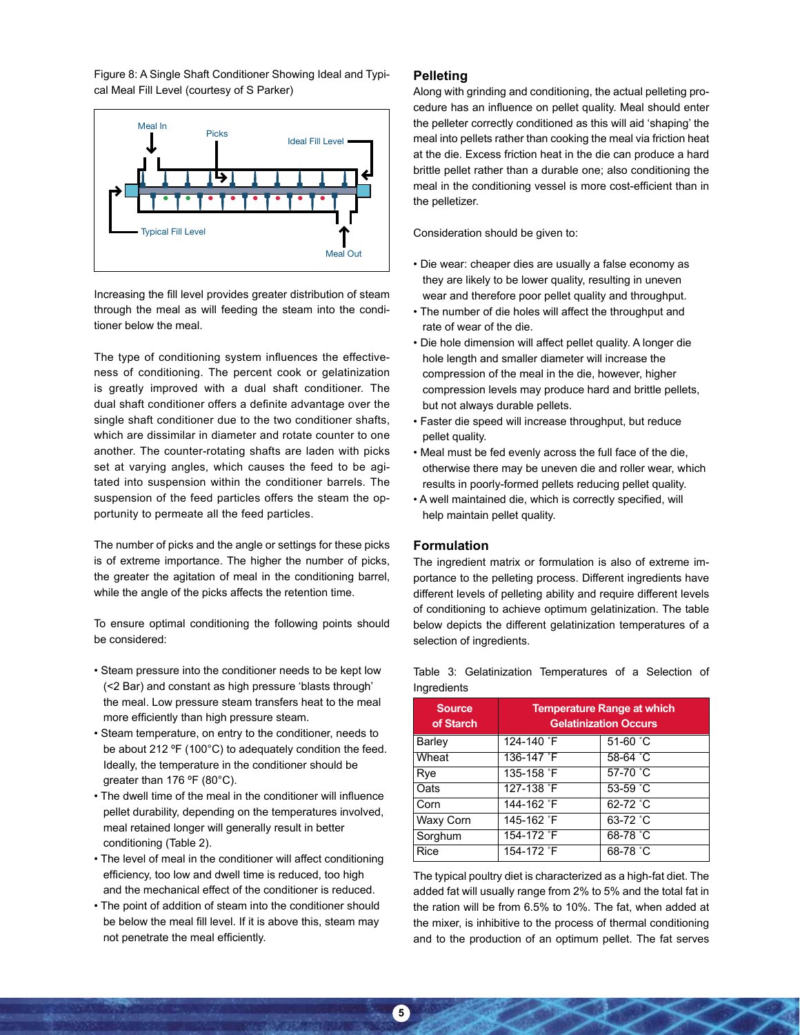Figure 8: A Single Shaft Conditioner Showing Ideal and Typical Meal Fill Level (courtesy of S Parker)



Increasing the fill level provides greater distribution of steam through the meal as will feeding the steam into the conditioner below the meal.

The type of conditioning system influences the effectiveness of conditioning. The percent cook or gelatinization is greatly improved with a dual shaft conditioner. The dual shaft conditioner offers a definite advantage over the single shaft conditioner due to the two conditioner shafts, which are dissimilar in diameter and rotate counter to one another. The counter-rotating shafts are laden with picks set at varying angles, which causes the feed to be agitated into suspension within the conditioner barrels. The suspension of the feed particles offers the steam the opportunity to permeate all the feed particles.

The number of picks and the angle or settings for these picks is of extreme importance. The higher the number of picks, the greater the agitation of meal in the conditioning barrel, while the angle of the picks affects the retention time.

To ensure optimal conditioning the following points should be considered:

- Steam pressure into the conditioner needs to be kept low (<2 Bar) and constant as high pressure 'blasts through' the meal. Low pressure steam transfers heat to the meal more efficiently than high pressure steam.
- Steam temperature, on entry to the conditioner, needs to be about 212 ºF (100°C) to adequately condition the feed. Ideally, the temperature in the conditioner should be greater than 176 ºF (80°C).
- The dwell time of the meal in the conditioner will influence pellet durability, depending on the temperatures involved, meal retained longer will generally result in better conditioning (Table 2).
- The level of meal in the conditioner will affect conditioning efficiency, too low and dwell time is reduced, too high and the mechanical effect of the conditioner is reduced.
- The point of addition of steam into the conditioner should be below the meal fill level. If it is above this, steam may not penetrate the meal efficiently.

## **Pelleting**

Along with grinding and conditioning, the actual pelleting procedure has an influence on pellet quality. Meal should enter the pelleter correctly conditioned as this will aid 'shaping' the meal into pellets rather than cooking the meal via friction heat at the die. Excess friction heat in the die can produce a hard brittle pellet rather than a durable one; also conditioning the meal in the conditioning vessel is more cost-efficient than in the pelletizer.

Consideration should be given to:

- Die wear: cheaper dies are usually a false economy as they are likely to be lower quality, resulting in uneven wear and therefore poor pellet quality and throughput.
- The number of die holes will affect the throughput and rate of wear of the die.
- Die hole dimension will affect pellet quality. A longer die hole length and smaller diameter will increase the compression of the meal in the die, however, higher compression levels may produce hard and brittle pellets, but not always durable pellets.
- Faster die speed will increase throughput, but reduce pellet quality.
- Meal must be fed evenly across the full face of the die, otherwise there may be uneven die and roller wear, which results in poorly-formed pellets reducing pellet quality.
- A well maintained die, which is correctly specified, will help maintain pellet quality.

# **Formulation**

The ingredient matrix or formulation is also of extreme importance to the pelleting process. Different ingredients have different levels of pelleting ability and require different levels of conditioning to achieve optimum gelatinization. The table below depicts the different gelatinization temperatures of a selection of ingredients.

Table 3: Gelatinization Temperatures of a Selection of Ingredients

| <b>Source</b><br>of Starch | <b>Temperature Range at which</b><br><b>Gelatinization Occurs</b> |                    |  |
|----------------------------|-------------------------------------------------------------------|--------------------|--|
| Barley                     | 124-140 F                                                         | 51-60 $^{\circ}$ C |  |
| Wheat                      | 136-147 F                                                         | $58-64$ $°C$       |  |
| Rye                        | 135-158 F                                                         | 57-70 °C           |  |
| Oats                       | 127-138 F                                                         | $53-59$ $°C$       |  |
| Corn                       | 144-162 F                                                         | 62-72 °C           |  |
| Waxy Corn                  | 145-162 F                                                         | 63-72 °C           |  |
| Sorghum                    | 154-172 F                                                         | 68-78 °C           |  |
| Rice                       | 154-172 F                                                         | 68-78 °C           |  |

The typical poultry diet is characterized as a high-fat diet. The added fat will usually range from 2% to 5% and the total fat in the ration will be from 6.5% to 10%. The fat, when added at the mixer, is inhibitive to the process of thermal conditioning and to the production of an optimum pellet. The fat serves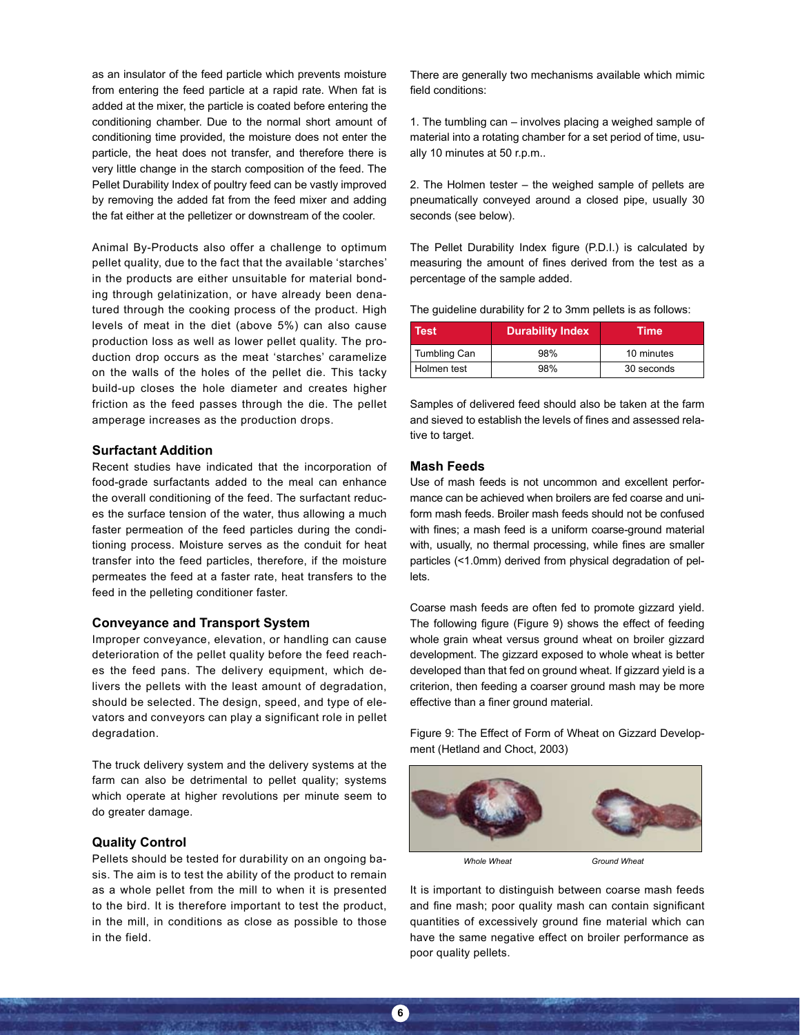as an insulator of the feed particle which prevents moisture from entering the feed particle at a rapid rate. When fat is added at the mixer, the particle is coated before entering the conditioning chamber. Due to the normal short amount of conditioning time provided, the moisture does not enter the particle, the heat does not transfer, and therefore there is very little change in the starch composition of the feed. The Pellet Durability Index of poultry feed can be vastly improved by removing the added fat from the feed mixer and adding the fat either at the pelletizer or downstream of the cooler.

Animal By-Products also offer a challenge to optimum pellet quality, due to the fact that the available 'starches' in the products are either unsuitable for material bonding through gelatinization, or have already been denatured through the cooking process of the product. High levels of meat in the diet (above 5%) can also cause production loss as well as lower pellet quality. The production drop occurs as the meat 'starches' caramelize on the walls of the holes of the pellet die. This tacky build-up closes the hole diameter and creates higher friction as the feed passes through the die. The pellet amperage increases as the production drops.

## **Surfactant Addition**

Recent studies have indicated that the incorporation of food-grade surfactants added to the meal can enhance the overall conditioning of the feed. The surfactant reduces the surface tension of the water, thus allowing a much faster permeation of the feed particles during the conditioning process. Moisture serves as the conduit for heat transfer into the feed particles, therefore, if the moisture permeates the feed at a faster rate, heat transfers to the feed in the pelleting conditioner faster.

# **Conveyance and Transport System**

Improper conveyance, elevation, or handling can cause deterioration of the pellet quality before the feed reaches the feed pans. The delivery equipment, which delivers the pellets with the least amount of degradation, should be selected. The design, speed, and type of elevators and conveyors can play a significant role in pellet degradation.

The truck delivery system and the delivery systems at the farm can also be detrimental to pellet quality; systems which operate at higher revolutions per minute seem to do greater damage.

#### **Quality Control**

Pellets should be tested for durability on an ongoing basis. The aim is to test the ability of the product to remain as a whole pellet from the mill to when it is presented to the bird. It is therefore important to test the product, in the mill, in conditions as close as possible to those in the field.

There are generally two mechanisms available which mimic field conditions:

1. The tumbling can – involves placing a weighed sample of material into a rotating chamber for a set period of time, usually 10 minutes at 50 r.p.m..

2. The Holmen tester – the weighed sample of pellets are pneumatically conveyed around a closed pipe, usually 30 seconds (see below).

The Pellet Durability Index figure (P.D.I.) is calculated by measuring the amount of fines derived from the test as a percentage of the sample added.

The guideline durability for 2 to 3mm pellets is as follows:

| Test         | <b>Durability Index</b> | <b>Time</b> |  |  |
|--------------|-------------------------|-------------|--|--|
| Tumbling Can | 98%                     | 10 minutes  |  |  |
| Holmen test  | 98%                     | 30 seconds  |  |  |

Samples of delivered feed should also be taken at the farm and sieved to establish the levels of fines and assessed relative to target.

# **Mash Feeds**

Use of mash feeds is not uncommon and excellent performance can be achieved when broilers are fed coarse and uniform mash feeds. Broiler mash feeds should not be confused with fines; a mash feed is a uniform coarse-ground material with, usually, no thermal processing, while fines are smaller particles (<1.0mm) derived from physical degradation of pellets.

Coarse mash feeds are often fed to promote gizzard yield. The following figure (Figure 9) shows the effect of feeding whole grain wheat versus ground wheat on broiler gizzard development. The gizzard exposed to whole wheat is better developed than that fed on ground wheat. If gizzard yield is a criterion, then feeding a coarser ground mash may be more effective than a finer ground material.

Figure 9: The Effect of Form of Wheat on Gizzard Development (Hetland and Choct, 2003)



It is important to distinguish between coarse mash feeds and fine mash; poor quality mash can contain significant quantities of excessively ground fine material which can have the same negative effect on broiler performance as poor quality pellets.

**6**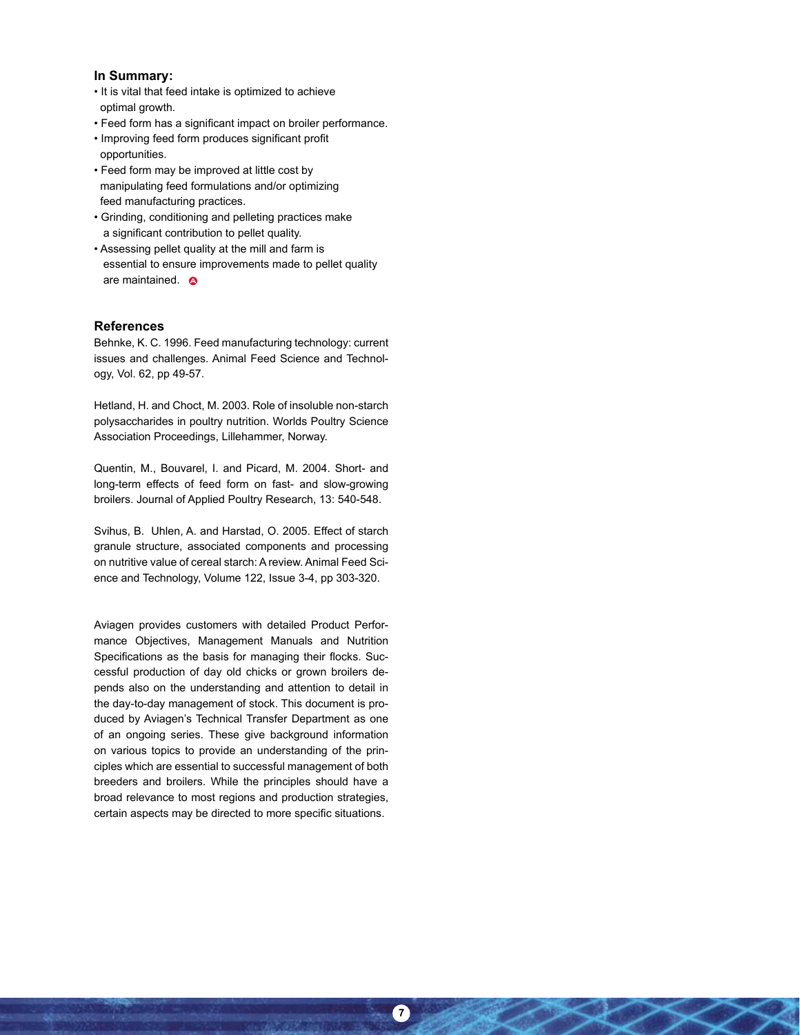### **In Summary:**

- It is vital that feed intake is optimized to achieve optimal growth.
- Feed form has a significant impact on broiler performance.
- Improving feed form produces significant profit opportunities.
- Feed form may be improved at little cost by manipulating feed formulations and/or optimizing feed manufacturing practices.
- Grinding, conditioning and pelleting practices make a significant contribution to pellet quality.
- Assessing pellet quality at the mill and farm is essential to ensure improvements made to pellet quality are maintained.  $\bullet$

#### **References**

Behnke, K. C. 1996. Feed manufacturing technology: current issues and challenges. Animal Feed Science and Technology, Vol. 62, pp 49-57.

Hetland, H. and Choct, M. 2003. Role of insoluble non-starch polysaccharides in poultry nutrition. Worlds Poultry Science Association Proceedings, Lillehammer, Norway.

Quentin, M., Bouvarel, I. and Picard, M. 2004. Short- and long-term effects of feed form on fast- and slow-growing broilers. Journal of Applied Poultry Research, 13: 540-548.

Svihus, B. Uhlen, A. and Harstad, O. 2005. Effect of starch granule structure, associated components and processing on nutritive value of cereal starch: A review. Animal Feed Science and Technology, Volume 122, Issue 3-4, pp 303-320.

Aviagen provides customers with detailed Product Performance Objectives, Management Manuals and Nutrition Specifications as the basis for managing their flocks. Successful production of day old chicks or grown broilers depends also on the understanding and attention to detail in the day-to-day management of stock. This document is produced by Aviagen's Technical Transfer Department as one of an ongoing series. These give background information on various topics to provide an understanding of the principles which are essential to successful management of both breeders and broilers. While the principles should have a broad relevance to most regions and production strategies, certain aspects may be directed to more specific situations.